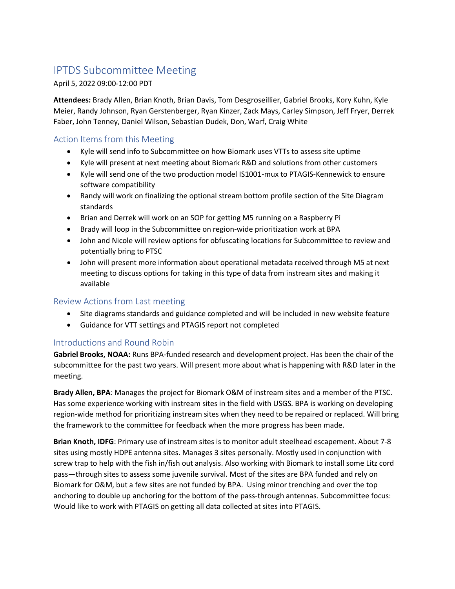# IPTDS Subcommittee Meeting

# April 5, 2022 09:00-12:00 PDT

**Attendees:** Brady Allen, Brian Knoth, Brian Davis, Tom Desgroseillier, Gabriel Brooks, Kory Kuhn, Kyle Meier, Randy Johnson, Ryan Gerstenberger, Ryan Kinzer, Zack Mays, Carley Simpson, Jeff Fryer, Derrek Faber, John Tenney, Daniel Wilson, Sebastian Dudek, Don, Warf, Craig White

# Action Items from this Meeting

- Kyle will send info to Subcommittee on how Biomark uses VTTs to assess site uptime
- Kyle will present at next meeting about Biomark R&D and solutions from other customers
- Kyle will send one of the two production model IS1001-mux to PTAGIS-Kennewick to ensure software compatibility
- Randy will work on finalizing the optional stream bottom profile section of the Site Diagram standards
- Brian and Derrek will work on an SOP for getting M5 running on a Raspberry Pi
- Brady will loop in the Subcommittee on region-wide prioritization work at BPA
- John and Nicole will review options for obfuscating locations for Subcommittee to review and potentially bring to PTSC
- John will present more information about operational metadata received through M5 at next meeting to discuss options for taking in this type of data from instream sites and making it available

# Review Actions from Last meeting

- Site diagrams standards and guidance completed and will be included in new website feature
- Guidance for VTT settings and PTAGIS report not completed

# Introductions and Round Robin

**Gabriel Brooks, NOAA:** Runs BPA-funded research and development project. Has been the chair of the subcommittee for the past two years. Will present more about what is happening with R&D later in the meeting.

**Brady Allen, BPA**: Manages the project for Biomark O&M of instream sites and a member of the PTSC. Has some experience working with instream sites in the field with USGS. BPA is working on developing region-wide method for prioritizing instream sites when they need to be repaired or replaced. Will bring the framework to the committee for feedback when the more progress has been made.

**Brian Knoth, IDFG**: Primary use of instream sites is to monitor adult steelhead escapement. About 7-8 sites using mostly HDPE antenna sites. Manages 3 sites personally. Mostly used in conjunction with screw trap to help with the fish in/fish out analysis. Also working with Biomark to install some Litz cord pass—through sites to assess some juvenile survival. Most of the sites are BPA funded and rely on Biomark for O&M, but a few sites are not funded by BPA. Using minor trenching and over the top anchoring to double up anchoring for the bottom of the pass-through antennas. Subcommittee focus: Would like to work with PTAGIS on getting all data collected at sites into PTAGIS.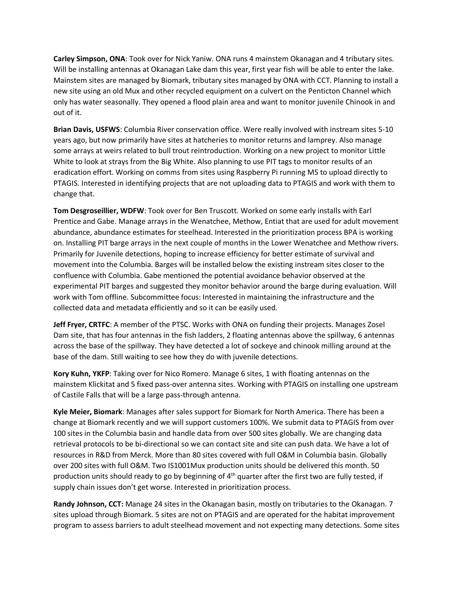**Carley Simpson, ONA**: Took over for Nick Yaniw. ONA runs 4 mainstem Okanagan and 4 tributary sites. Will be installing antennas at Okanagan Lake dam this year, first year fish will be able to enter the lake. Mainstem sites are managed by Biomark, tributary sites managed by ONA with CCT. Planning to install a new site using an old Mux and other recycled equipment on a culvert on the Penticton Channel which only has water seasonally. They opened a flood plain area and want to monitor juvenile Chinook in and out of it.

**Brian Davis, USFWS**: Columbia River conservation office. Were really involved with instream sites 5-10 years ago, but now primarily have sites at hatcheries to monitor returns and lamprey. Also manage some arrays at weirs related to bull trout reintroduction. Working on a new project to monitor Little White to look at strays from the Big White. Also planning to use PIT tags to monitor results of an eradication effort. Working on comms from sites using Raspberry Pi running M5 to upload directly to PTAGIS. Interested in identifying projects that are not uploading data to PTAGIS and work with them to change that.

**Tom Desgroseillier, WDFW**: Took over for Ben Truscott. Worked on some early installs with Earl Prentice and Gabe. Manage arrays in the Wenatchee, Methow, Entiat that are used for adult movement abundance, abundance estimates for steelhead. Interested in the prioritization process BPA is working on. Installing PIT barge arrays in the next couple of months in the Lower Wenatchee and Methow rivers. Primarily for Juvenile detections, hoping to increase efficiency for better estimate of survival and movement into the Columbia. Barges will be installed below the existing instream sites closer to the confluence with Columbia. Gabe mentioned the potential avoidance behavior observed at the experimental PIT barges and suggested they monitor behavior around the barge during evaluation. Will work with Tom offline. Subcommittee focus: Interested in maintaining the infrastructure and the collected data and metadata efficiently and so it can be easily used.

**Jeff Fryer, CRTFC**: A member of the PTSC. Works with ONA on funding their projects. Manages Zosel Dam site, that has four antennas in the fish ladders, 2 floating antennas above the spillway, 6 antennas across the base of the spillway. They have detected a lot of sockeye and chinook milling around at the base of the dam. Still waiting to see how they do with juvenile detections.

**Kory Kuhn, YKFP**: Taking over for Nico Romero. Manage 6 sites, 1 with floating antennas on the mainstem Klickitat and 5 fixed pass-over antenna sites. Working with PTAGIS on installing one upstream of Castile Falls that will be a large pass-through antenna.

**Kyle Meier, Biomark**: Manages after sales support for Biomark for North America. There has been a change at Biomark recently and we will support customers 100%. We submit data to PTAGIS from over 100 sites in the Columbia basin and handle data from over 500 sites globally. We are changing data retrieval protocols to be bi-directional so we can contact site and site can push data. We have a lot of resources in R&D from Merck. More than 80 sites covered with full O&M in Columbia basin. Globally over 200 sites with full O&M. Two IS1001Mux production units should be delivered this month. 50 production units should ready to go by beginning of  $4<sup>th</sup>$  quarter after the first two are fully tested, if supply chain issues don't get worse. Interested in prioritization process.

**Randy Johnson, CCT:** Manage 24 sites in the Okanagan basin, mostly on tributaries to the Okanagan. 7 sites upload through Biomark. 5 sites are not on PTAGIS and are operated for the habitat improvement program to assess barriers to adult steelhead movement and not expecting many detections. Some sites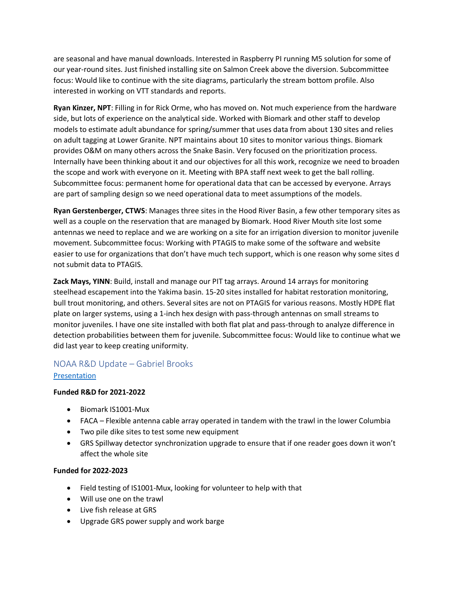are seasonal and have manual downloads. Interested in Raspberry PI running M5 solution for some of our year-round sites. Just finished installing site on Salmon Creek above the diversion. Subcommittee focus: Would like to continue with the site diagrams, particularly the stream bottom profile. Also interested in working on VTT standards and reports.

**Ryan Kinzer, NPT**: Filling in for Rick Orme, who has moved on. Not much experience from the hardware side, but lots of experience on the analytical side. Worked with Biomark and other staff to develop models to estimate adult abundance for spring/summer that uses data from about 130 sites and relies on adult tagging at Lower Granite. NPT maintains about 10 sites to monitor various things. Biomark provides O&M on many others across the Snake Basin. Very focused on the prioritization process. Internally have been thinking about it and our objectives for all this work, recognize we need to broaden the scope and work with everyone on it. Meeting with BPA staff next week to get the ball rolling. Subcommittee focus: permanent home for operational data that can be accessed by everyone. Arrays are part of sampling design so we need operational data to meet assumptions of the models.

**Ryan Gerstenberger, CTWS**: Manages three sites in the Hood River Basin, a few other temporary sites as well as a couple on the reservation that are managed by Biomark. Hood River Mouth site lost some antennas we need to replace and we are working on a site for an irrigation diversion to monitor juvenile movement. Subcommittee focus: Working with PTAGIS to make some of the software and website easier to use for organizations that don't have much tech support, which is one reason why some sites d not submit data to PTAGIS.

**Zack Mays, YINN**: Build, install and manage our PIT tag arrays. Around 14 arrays for monitoring steelhead escapement into the Yakima basin. 15-20 sites installed for habitat restoration monitoring, bull trout monitoring, and others. Several sites are not on PTAGIS for various reasons. Mostly HDPE flat plate on larger systems, using a 1-inch hex design with pass-through antennas on small streams to monitor juveniles. I have one site installed with both flat plat and pass-through to analyze difference in detection probabilities between them for juvenile. Subcommittee focus: Would like to continue what we did last year to keep creating uniformity.

# NOAA R&D Update – Gabriel Brooks

# **[Presentation](https://www.ptagis.org/content/documents/2022-04-IPTDSMeetingNOAAOverview.pdf)**

# **Funded R&D for 2021-2022**

- Biomark IS1001-Mux
- FACA Flexible antenna cable array operated in tandem with the trawl in the lower Columbia
- Two pile dike sites to test some new equipment
- GRS Spillway detector synchronization upgrade to ensure that if one reader goes down it won't affect the whole site

# **Funded for 2022-2023**

- Field testing of IS1001-Mux, looking for volunteer to help with that
- Will use one on the trawl
- Live fish release at GRS
- Upgrade GRS power supply and work barge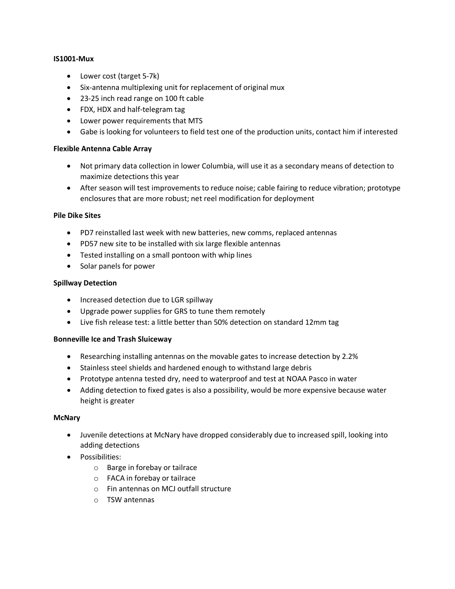#### **IS1001-Mux**

- Lower cost (target 5-7k)
- Six-antenna multiplexing unit for replacement of original mux
- 23-25 inch read range on 100 ft cable
- FDX, HDX and half-telegram tag
- Lower power requirements that MTS
- Gabe is looking for volunteers to field test one of the production units, contact him if interested

#### **Flexible Antenna Cable Array**

- Not primary data collection in lower Columbia, will use it as a secondary means of detection to maximize detections this year
- After season will test improvements to reduce noise; cable fairing to reduce vibration; prototype enclosures that are more robust; net reel modification for deployment

#### **Pile Dike Sites**

- PD7 reinstalled last week with new batteries, new comms, replaced antennas
- PD57 new site to be installed with six large flexible antennas
- Tested installing on a small pontoon with whip lines
- Solar panels for power

#### **Spillway Detection**

- Increased detection due to LGR spillway
- Upgrade power supplies for GRS to tune them remotely
- Live fish release test: a little better than 50% detection on standard 12mm tag

#### **Bonneville Ice and Trash Sluiceway**

- Researching installing antennas on the movable gates to increase detection by 2.2%
- Stainless steel shields and hardened enough to withstand large debris
- Prototype antenna tested dry, need to waterproof and test at NOAA Pasco in water
- Adding detection to fixed gates is also a possibility, would be more expensive because water height is greater

#### **McNary**

- Juvenile detections at McNary have dropped considerably due to increased spill, looking into adding detections
- Possibilities:
	- o Barge in forebay or tailrace
	- o FACA in forebay or tailrace
	- o Fin antennas on MCJ outfall structure
	- o TSW antennas